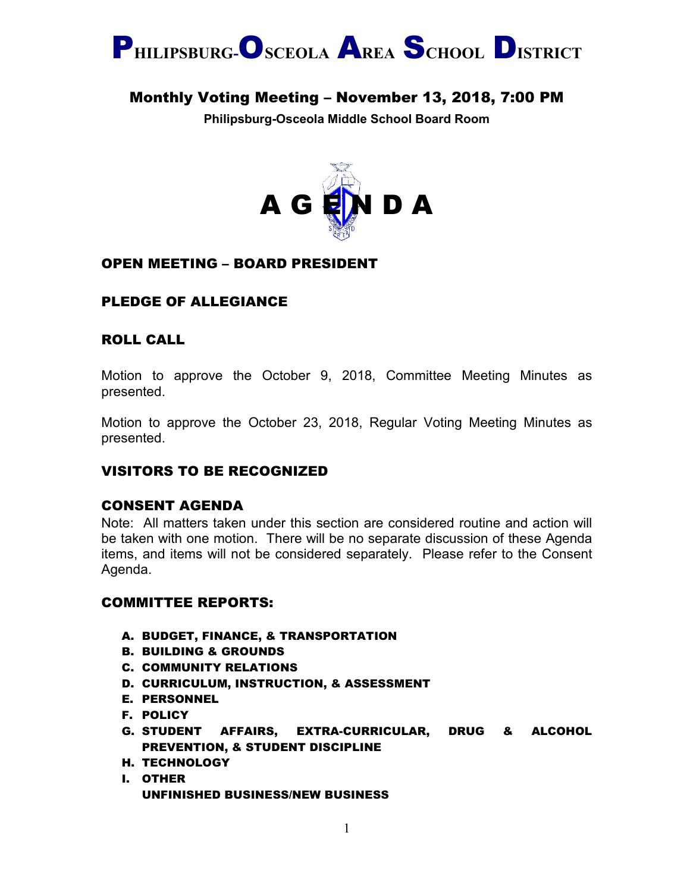

# Monthly Voting Meeting – November 13, 2018, 7:00 PM

**Philipsburg-Osceola Middle School Board Room**



### OPEN MEETING – BOARD PRESIDENT

## PLEDGE OF ALLEGIANCE

## ROLL CALL

Motion to approve the October 9, 2018, Committee Meeting Minutes as presented.

Motion to approve the October 23, 2018, Regular Voting Meeting Minutes as presented.

## VISITORS TO BE RECOGNIZED

### CONSENT AGENDA

Note: All matters taken under this section are considered routine and action will be taken with one motion. There will be no separate discussion of these Agenda items, and items will not be considered separately. Please refer to the Consent Agenda.

#### COMMITTEE REPORTS:

- A. BUDGET, FINANCE, & TRANSPORTATION
- B. BUILDING & GROUNDS
- C. COMMUNITY RELATIONS
- D. CURRICULUM, INSTRUCTION, & ASSESSMENT
- E. PERSONNEL
- F. POLICY
- G. STUDENT AFFAIRS, EXTRA-CURRICULAR, DRUG & ALCOHOL PREVENTION, & STUDENT DISCIPLINE
- H. TECHNOLOGY
- I. OTHER UNFINISHED BUSINESS/NEW BUSINESS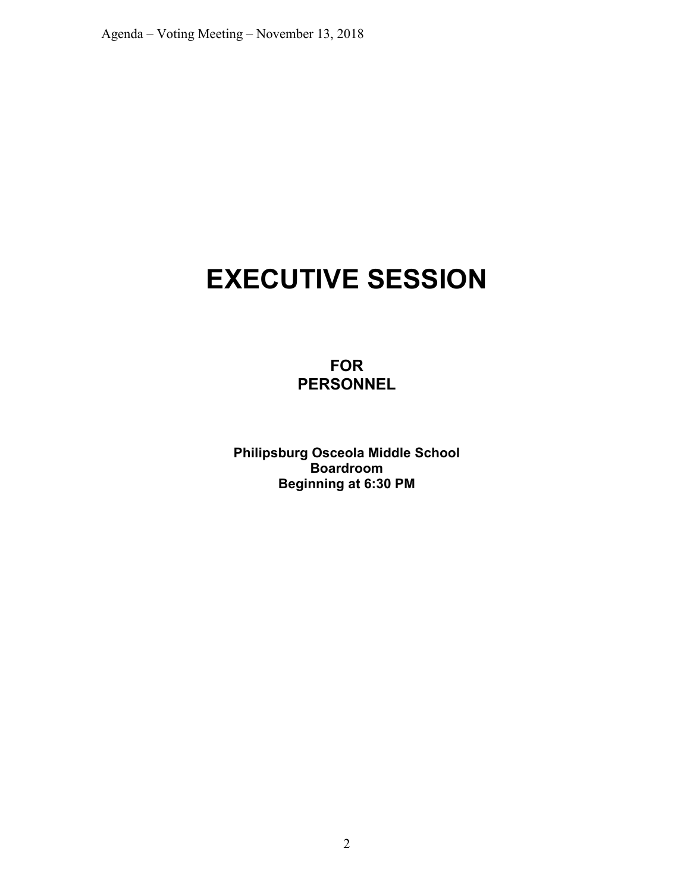# **EXECUTIVE SESSION**

**FOR PERSONNEL**

**Philipsburg Osceola Middle School Boardroom Beginning at 6:30 PM**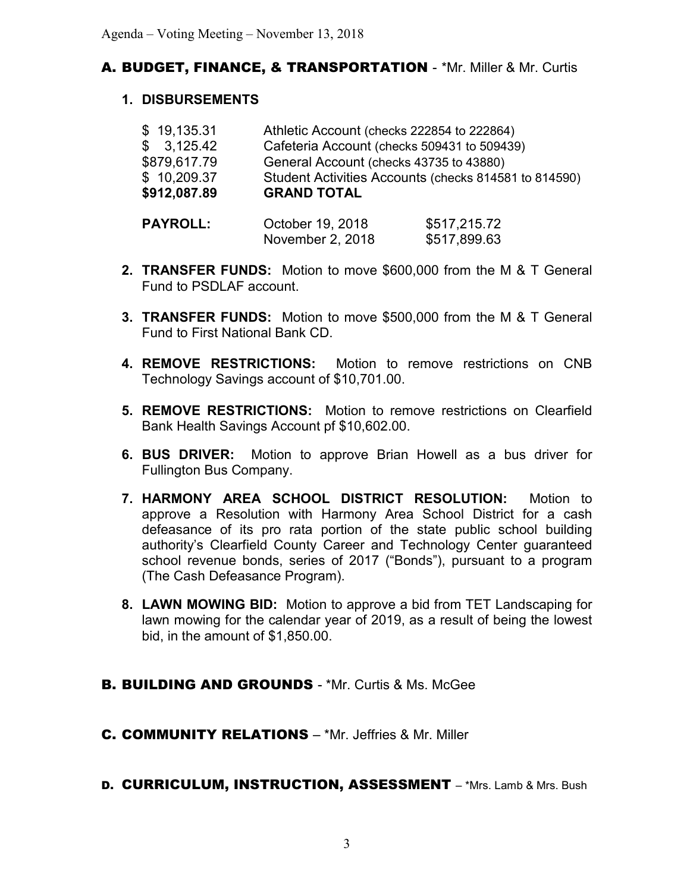## A. BUDGET, FINANCE, & TRANSPORTATION - \*Mr. Miller & Mr. Curtis

### **1. DISBURSEMENTS**

|              | $\sim$ $\sim$ $\sim$ $\sim$ $\sim$ $\sim$ $\sim$      |
|--------------|-------------------------------------------------------|
| \$912,087.89 | <b>GRAND TOTAL</b>                                    |
| \$10,209.37  | Student Activities Accounts (checks 814581 to 814590) |
| \$879,617.79 | General Account (checks 43735 to 43880)               |
| \$3,125.42   | Cafeteria Account (checks 509431 to 509439)           |
| \$19,135.31  | Athletic Account (checks 222854 to 222864)            |
|              |                                                       |

- **PAYROLL:** October 19, 2018 \$517,215.72 November 2, 2018 \$517,899.63
- **2. TRANSFER FUNDS:** Motion to move \$600,000 from the M & T General Fund to PSDLAF account.
- **3. TRANSFER FUNDS:** Motion to move \$500,000 from the M & T General Fund to First National Bank CD.
- **4. REMOVE RESTRICTIONS:** Motion to remove restrictions on CNB Technology Savings account of \$10,701.00.
- **5. REMOVE RESTRICTIONS:** Motion to remove restrictions on Clearfield Bank Health Savings Account pf \$10,602.00.
- **6. BUS DRIVER:** Motion to approve Brian Howell as a bus driver for Fullington Bus Company.
- **7. HARMONY AREA SCHOOL DISTRICT RESOLUTION:** Motion to approve a Resolution with Harmony Area School District for a cash defeasance of its pro rata portion of the state public school building authority's Clearfield County Career and Technology Center guaranteed school revenue bonds, series of 2017 ("Bonds"), pursuant to a program (The Cash Defeasance Program).
- **8. LAWN MOWING BID:** Motion to approve a bid from TET Landscaping for lawn mowing for the calendar year of 2019, as a result of being the lowest bid, in the amount of \$1,850.00.
- **B. BUILDING AND GROUNDS \*Mr. Curtis & Ms. McGee**
- C. COMMUNITY RELATIONS \*Mr. Jeffries & Mr. Miller
- D. CURRICULUM, INSTRUCTION, ASSESSMENT \*Mrs. Lamb & Mrs. Bush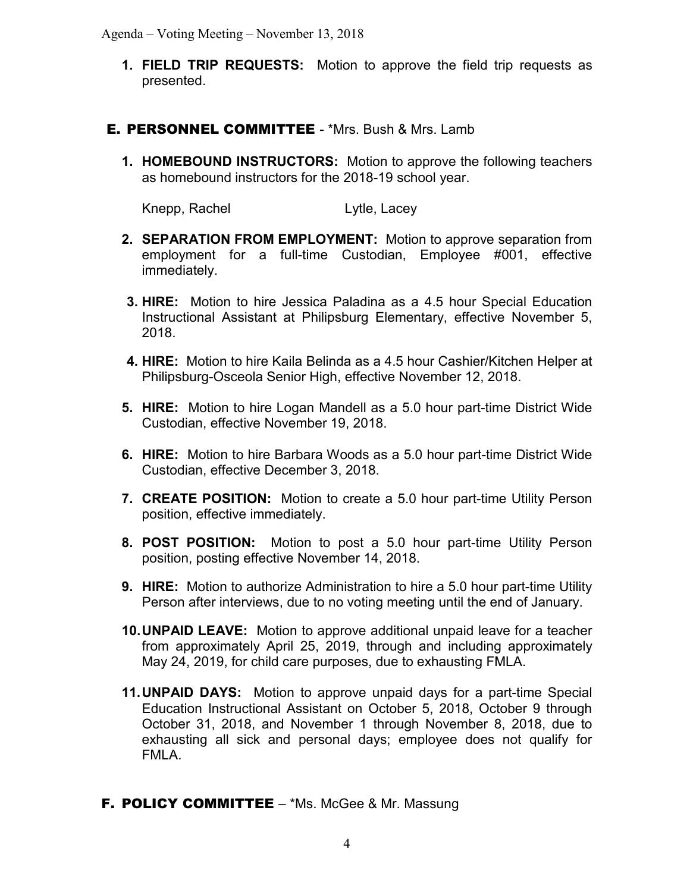Agenda – Voting Meeting – November 13, 2018

- **1. FIELD TRIP REQUESTS:** Motion to approve the field trip requests as presented.
- E. PERSONNEL COMMITTEE \*Mrs. Bush & Mrs. Lamb
	- **1. HOMEBOUND INSTRUCTORS:** Motion to approve the following teachers as homebound instructors for the 2018-19 school year.

Knepp, Rachel **Lytle, Lacey** 

- **2. SEPARATION FROM EMPLOYMENT:** Motion to approve separation from employment for a full-time Custodian, Employee #001, effective immediately.
- **3. HIRE:** Motion to hire Jessica Paladina as a 4.5 hour Special Education Instructional Assistant at Philipsburg Elementary, effective November 5, 2018.
- **4. HIRE:** Motion to hire Kaila Belinda as a 4.5 hour Cashier/Kitchen Helper at Philipsburg-Osceola Senior High, effective November 12, 2018.
- **5. HIRE:** Motion to hire Logan Mandell as a 5.0 hour part-time District Wide Custodian, effective November 19, 2018.
- **6. HIRE:** Motion to hire Barbara Woods as a 5.0 hour part-time District Wide Custodian, effective December 3, 2018.
- **7. CREATE POSITION:** Motion to create a 5.0 hour part-time Utility Person position, effective immediately.
- **8. POST POSITION:** Motion to post a 5.0 hour part-time Utility Person position, posting effective November 14, 2018.
- **9. HIRE:** Motion to authorize Administration to hire a 5.0 hour part-time Utility Person after interviews, due to no voting meeting until the end of January.
- **10.UNPAID LEAVE:** Motion to approve additional unpaid leave for a teacher from approximately April 25, 2019, through and including approximately May 24, 2019, for child care purposes, due to exhausting FMLA.
- **11.UNPAID DAYS:** Motion to approve unpaid days for a part-time Special Education Instructional Assistant on October 5, 2018, October 9 through October 31, 2018, and November 1 through November 8, 2018, due to exhausting all sick and personal days; employee does not qualify for FMLA.
- **F. POLICY COMMITTEE** \*Ms. McGee & Mr. Massung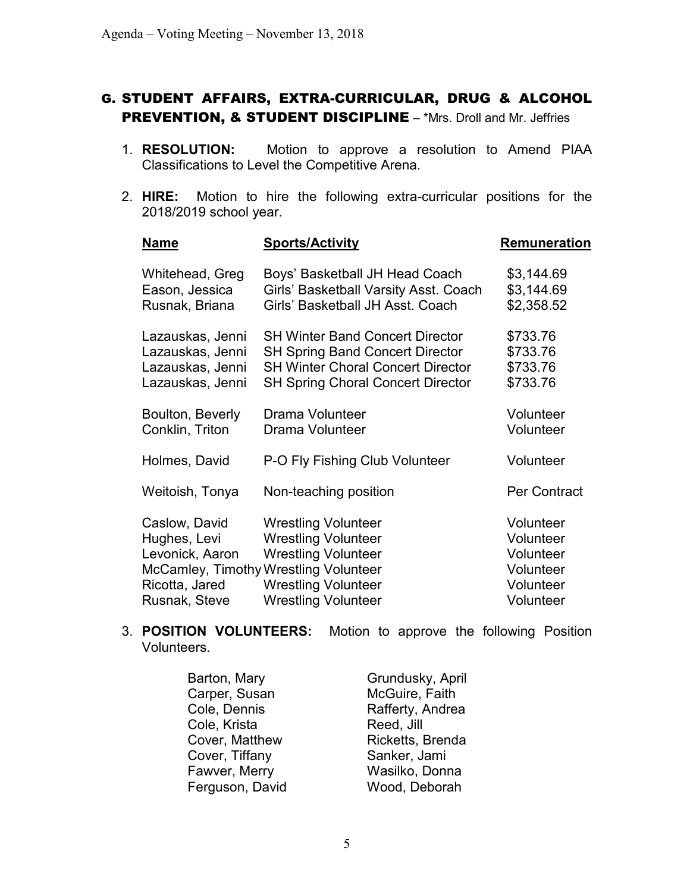## G. STUDENT AFFAIRS, EXTRA-CURRICULAR, DRUG & ALCOHOL PREVENTION, & STUDENT DISCIPLINE - \*Mrs. Droll and Mr. Jeffries

- 1. **RESOLUTION:** Motion to approve a resolution to Amend PIAA Classifications to Level the Competitive Arena.
- 2. **HIRE:** Motion to hire the following extra-curricular positions for the 2018/2019 school year.

| <b>Name</b>                                                                         | <b>Sports/Activity</b>                                                                                                                                                                      | <b>Remuneration</b>                                                        |
|-------------------------------------------------------------------------------------|---------------------------------------------------------------------------------------------------------------------------------------------------------------------------------------------|----------------------------------------------------------------------------|
| Whitehead, Greg<br>Eason, Jessica<br>Rusnak, Briana                                 | Boys' Basketball JH Head Coach<br>Girls' Basketball Varsity Asst. Coach<br>Girls' Basketball JH Asst. Coach                                                                                 | \$3,144.69<br>\$3,144.69<br>\$2,358.52                                     |
| Lazauskas, Jenni<br>Lazauskas, Jenni<br>Lazauskas, Jenni<br>Lazauskas, Jenni        | <b>SH Winter Band Concert Director</b><br><b>SH Spring Band Concert Director</b><br><b>SH Winter Choral Concert Director</b><br><b>SH Spring Choral Concert Director</b>                    | \$733.76<br>\$733.76<br>\$733.76<br>\$733.76                               |
| Boulton, Beverly<br>Conklin, Triton                                                 | Drama Volunteer<br>Drama Volunteer                                                                                                                                                          | Volunteer<br>Volunteer                                                     |
| Holmes, David                                                                       | P-O Fly Fishing Club Volunteer                                                                                                                                                              | Volunteer                                                                  |
| Weitoish, Tonya                                                                     | Non-teaching position                                                                                                                                                                       | <b>Per Contract</b>                                                        |
| Caslow, David<br>Hughes, Levi<br>Levonick, Aaron<br>Ricotta, Jared<br>Rusnak, Steve | <b>Wrestling Volunteer</b><br><b>Wrestling Volunteer</b><br><b>Wrestling Volunteer</b><br>McCamley, Timothy Wrestling Volunteer<br><b>Wrestling Volunteer</b><br><b>Wrestling Volunteer</b> | Volunteer<br>Volunteer<br>Volunteer<br>Volunteer<br>Volunteer<br>Volunteer |
|                                                                                     |                                                                                                                                                                                             |                                                                            |

### 3. **POSITION VOLUNTEERS:** Motion to approve the following Position Volunteers.

| Barton, Mary    | Grundusky, April |
|-----------------|------------------|
| Carper, Susan   | McGuire, Faith   |
| Cole, Dennis    | Rafferty, Andrea |
| Cole, Krista    | Reed, Jill       |
| Cover, Matthew  | Ricketts, Brenda |
| Cover, Tiffany  | Sanker, Jami     |
| Fawver, Merry   | Wasilko, Donna   |
| Ferguson, David | Wood, Deborah    |